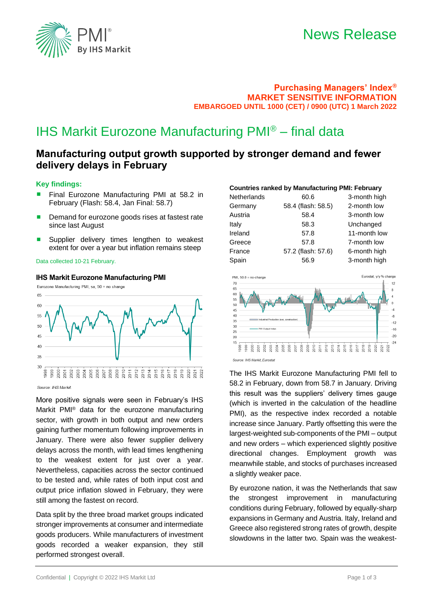

## **Purchasing Managers' Index® MARKET SENSITIVE INFORMATION EMBARGOED UNTIL 1000 (CET) / 0900 (UTC) 1 March 2022**

# IHS Markit Eurozone Manufacturing PMI® – final data

# **Manufacturing output growth supported by stronger demand and fewer delivery delays in February**

#### **Key findings:**

- Final Eurozone Manufacturing PMI at 58.2 in February (Flash: 58.4, Jan Final: 58.7)
- Demand for eurozone goods rises at fastest rate since last August
- Supplier delivery times lengthen to weakest extent for over a year but inflation remains steep

**IHS Markit Eurozone Manufacturing PMI**

#### Data collected 10-21 February.

#### Eurozone Manufacturing PMI, sa, 50 = no change 65  $60$ 55 50 45  $\Delta$ 0  $35$  $30^{\circ}$  $\frac{8}{201}$ <br>  $\frac{1}{201}$ <br>  $\frac{1}{201}$ <br>  $\frac{1}{201}$  $\frac{25}{8}$   $\frac{5}{8}$   $\frac{22}{8}$ 999 998  $000$  $\overline{5}$  $002$

Source: IHS Markit

More positive signals were seen in February's IHS Markit PMI® data for the eurozone manufacturing sector, with growth in both output and new orders gaining further momentum following improvements in January. There were also fewer supplier delivery delays across the month, with lead times lengthening to the weakest extent for just over a year. Nevertheless, capacities across the sector continued to be tested and, while rates of both input cost and output price inflation slowed in February, they were still among the fastest on record.

Data split by the three broad market groups indicated stronger improvements at consumer and intermediate goods producers. While manufacturers of investment goods recorded a weaker expansion, they still performed strongest overall.

### **Countries ranked by Manufacturing PMI: February**

| <b>Netherlands</b> | 60.6               | 3-month high |
|--------------------|--------------------|--------------|
| Germany            | 58.4 (flash: 58.5) | 2-month low  |
| Austria            | 58.4               | 3-month low  |
| Italy              | 58.3               | Unchanged    |
| Ireland            | 57.8               | 11-month low |
| Greece             | 57.8               | 7-month low  |
| France             | 57.2 (flash: 57.6) | 6-month high |
| Spain              | 56.9               | 3-month high |
|                    |                    |              |



The IHS Markit Eurozone Manufacturing PMI fell to 58.2 in February, down from 58.7 in January. Driving this result was the suppliers' delivery times gauge (which is inverted in the calculation of the headline PMI), as the respective index recorded a notable increase since January. Partly offsetting this were the largest-weighted sub-components of the PMI – output and new orders – which experienced slightly positive directional changes. Employment growth was

By eurozone nation, it was the Netherlands that saw the strongest improvement in manufacturing conditions during February, followed by equally-sharp expansions in Germany and Austria. Italy, Ireland and Greece also registered strong rates of growth, despite slowdowns in the latter two. Spain was the weakest-

meanwhile stable, and stocks of purchases increased

a slightly weaker pace.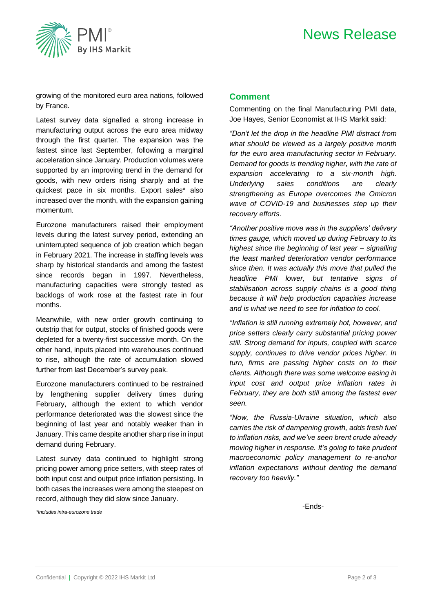



growing of the monitored euro area nations, followed by France.

Latest survey data signalled a strong increase in manufacturing output across the euro area midway through the first quarter. The expansion was the fastest since last September, following a marginal acceleration since January. Production volumes were supported by an improving trend in the demand for goods, with new orders rising sharply and at the quickest pace in six months. Export sales\* also increased over the month, with the expansion gaining momentum.

Eurozone manufacturers raised their employment levels during the latest survey period, extending an uninterrupted sequence of job creation which began in February 2021. The increase in staffing levels was sharp by historical standards and among the fastest since records began in 1997. Nevertheless, manufacturing capacities were strongly tested as backlogs of work rose at the fastest rate in four months.

Meanwhile, with new order growth continuing to outstrip that for output, stocks of finished goods were depleted for a twenty-first successive month. On the other hand, inputs placed into warehouses continued to rise, although the rate of accumulation slowed further from last December's survey peak.

Eurozone manufacturers continued to be restrained by lengthening supplier delivery times during February, although the extent to which vendor performance deteriorated was the slowest since the beginning of last year and notably weaker than in January. This came despite another sharp rise in input demand during February.

Latest survey data continued to highlight strong pricing power among price setters, with steep rates of both input cost and output price inflation persisting. In both cases the increases were among the steepest on record, although they did slow since January.

*\*Includes intra-eurozone trade*

### **Comment**

Commenting on the final Manufacturing PMI data, Joe Hayes, Senior Economist at IHS Markit said:

*"Don't let the drop in the headline PMI distract from what should be viewed as a largely positive month for the euro area manufacturing sector in February. Demand for goods is trending higher, with the rate of expansion accelerating to a six-month high. Underlying sales conditions are clearly strengthening as Europe overcomes the Omicron wave of COVID-19 and businesses step up their recovery efforts.* 

*"Another positive move was in the suppliers' delivery times gauge, which moved up during February to its highest since the beginning of last year – signalling the least marked deterioration vendor performance since then. It was actually this move that pulled the headline PMI lower, but tentative signs of stabilisation across supply chains is a good thing because it will help production capacities increase and is what we need to see for inflation to cool.* 

*"Inflation is still running extremely hot, however, and price setters clearly carry substantial pricing power still. Strong demand for inputs, coupled with scarce supply, continues to drive vendor prices higher. In turn, firms are passing higher costs on to their clients. Although there was some welcome easing in input cost and output price inflation rates in February, they are both still among the fastest ever seen.* 

*"Now, the Russia-Ukraine situation, which also carries the risk of dampening growth, adds fresh fuel to inflation risks, and we've seen brent crude already moving higher in response. It's going to take prudent macroeconomic policy management to re-anchor inflation expectations without denting the demand recovery too heavily."*

-Ends-